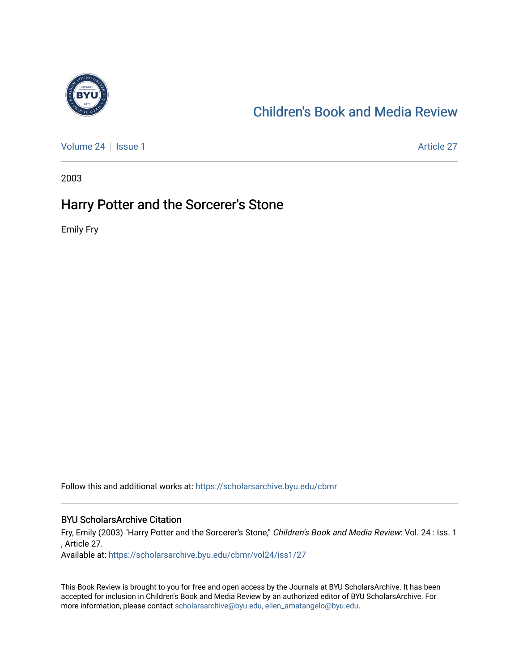

## [Children's Book and Media Review](https://scholarsarchive.byu.edu/cbmr)

[Volume 24](https://scholarsarchive.byu.edu/cbmr/vol24) | [Issue 1](https://scholarsarchive.byu.edu/cbmr/vol24/iss1) Article 27

2003

## Harry Potter and the Sorcerer's Stone

Emily Fry

Follow this and additional works at: [https://scholarsarchive.byu.edu/cbmr](https://scholarsarchive.byu.edu/cbmr?utm_source=scholarsarchive.byu.edu%2Fcbmr%2Fvol24%2Fiss1%2F27&utm_medium=PDF&utm_campaign=PDFCoverPages) 

## BYU ScholarsArchive Citation

Fry, Emily (2003) "Harry Potter and the Sorcerer's Stone," Children's Book and Media Review: Vol. 24 : Iss. 1 , Article 27.

Available at: [https://scholarsarchive.byu.edu/cbmr/vol24/iss1/27](https://scholarsarchive.byu.edu/cbmr/vol24/iss1/27?utm_source=scholarsarchive.byu.edu%2Fcbmr%2Fvol24%2Fiss1%2F27&utm_medium=PDF&utm_campaign=PDFCoverPages)

This Book Review is brought to you for free and open access by the Journals at BYU ScholarsArchive. It has been accepted for inclusion in Children's Book and Media Review by an authorized editor of BYU ScholarsArchive. For more information, please contact [scholarsarchive@byu.edu, ellen\\_amatangelo@byu.edu.](mailto:scholarsarchive@byu.edu,%20ellen_amatangelo@byu.edu)